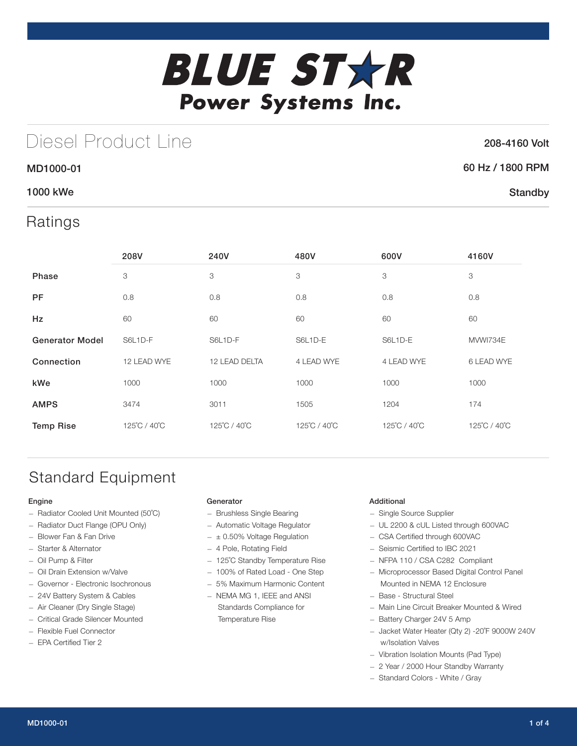

# Diesel Product Line

## 208-4160 Volt

## 60 Hz / 1800 RPM

**Standby** 

## 1000 kWe

MD1000-01

## Ratings

|                        | 208V         | 240V          | 480V         | 600V         | 4160V        |
|------------------------|--------------|---------------|--------------|--------------|--------------|
| Phase                  | 3            | 3             | 3            | 3            | 3            |
| <b>PF</b>              | 0.8          | 0.8           | 0.8          | 0.8          | 0.8          |
| <b>Hz</b>              | 60           | 60            | 60           | 60           | 60           |
| <b>Generator Model</b> | S6L1D-F      | S6L1D-F       | S6L1D-E      | S6L1D-E      | MVWI734E     |
| Connection             | 12 LEAD WYE  | 12 LEAD DELTA | 4 LEAD WYE   | 4 LEAD WYE   | 6 LEAD WYE   |
| kWe                    | 1000         | 1000          | 1000         | 1000         | 1000         |
| <b>AMPS</b>            | 3474         | 3011          | 1505         | 1204         | 174          |
| <b>Temp Rise</b>       | 125°C / 40°C | 125°C / 40°C  | 125°C / 40°C | 125°C / 40°C | 125°C / 40°C |

# Standard Equipment

### Engine

- Radiator Cooled Unit Mounted (50˚C)
- Radiator Duct Flange (OPU Only)
- Blower Fan & Fan Drive
- Starter & Alternator
- Oil Pump & Filter
- Oil Drain Extension w/Valve
- Governor Electronic Isochronous
- 24V Battery System & Cables
- Air Cleaner (Dry Single Stage)
- Critical Grade Silencer Mounted
- Flexible Fuel Connector
- EPA Certified Tier 2

### Generator

- Brushless Single Bearing
- Automatic Voltage Regulator
- $\pm$  0.50% Voltage Regulation
- 4 Pole, Rotating Field
- 125˚C Standby Temperature Rise
- 100% of Rated Load One Step
- 5% Maximum Harmonic Content
- NEMA MG 1, IEEE and ANSI Standards Compliance for Temperature Rise

### Additional

- Single Source Supplier
- UL 2200 & cUL Listed through 600VAC
- CSA Certified through 600VAC
- Seismic Certified to IBC 2021
- NFPA 110 / CSA C282 Compliant
- Microprocessor Based Digital Control Panel Mounted in NEMA 12 Enclosure
- Base Structural Steel
- Main Line Circuit Breaker Mounted & Wired
- Battery Charger 24V 5 Amp
- Jacket Water Heater (Qty 2) -20˚F 9000W 240V w/Isolation Valves
- Vibration Isolation Mounts (Pad Type)
- 2 Year / 2000 Hour Standby Warranty
- Standard Colors White / Gray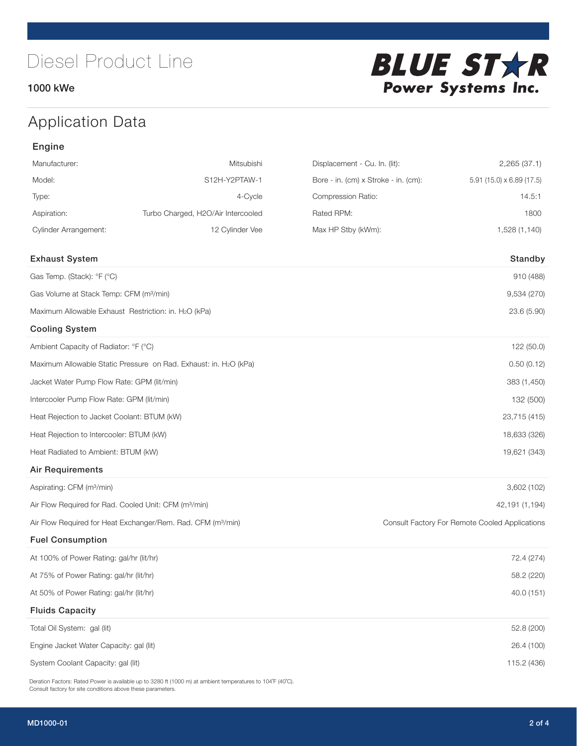## 1000 kWe



# Application Data

## Engine

| Manufacturer:                                                     | Mitsubishi                                                               | Displacement - Cu. In. (lit):        | 2,265(37.1)                                    |
|-------------------------------------------------------------------|--------------------------------------------------------------------------|--------------------------------------|------------------------------------------------|
| Model:                                                            | S12H-Y2PTAW-1                                                            | Bore - in. (cm) x Stroke - in. (cm): | $5.91$ (15.0) x 6.89 (17.5)                    |
| Type:                                                             | 4-Cycle                                                                  | Compression Ratio:                   | 14.5:1                                         |
| Aspiration:                                                       | Turbo Charged, H2O/Air Intercooled                                       | Rated RPM:                           | 1800                                           |
| <b>Cylinder Arrangement:</b>                                      | 12 Cylinder Vee                                                          | Max HP Stby (kWm):                   | 1,528 (1,140)                                  |
| <b>Exhaust System</b>                                             |                                                                          |                                      | Standby                                        |
| Gas Temp. (Stack): °F (°C)                                        |                                                                          |                                      | 910 (488)                                      |
| Gas Volume at Stack Temp: CFM (m <sup>3</sup> /min)               |                                                                          |                                      | 9,534 (270)                                    |
| Maximum Allowable Exhaust Restriction: in. H2O (kPa)              |                                                                          |                                      | 23.6 (5.90)                                    |
| <b>Cooling System</b>                                             |                                                                          |                                      |                                                |
| Ambient Capacity of Radiator: °F (°C)                             |                                                                          |                                      | 122 (50.0)                                     |
|                                                                   | Maximum Allowable Static Pressure on Rad. Exhaust: in. H2O (kPa)         |                                      | 0.50(0.12)                                     |
| Jacket Water Pump Flow Rate: GPM (lit/min)                        |                                                                          |                                      | 383 (1,450)                                    |
| Intercooler Pump Flow Rate: GPM (lit/min)                         |                                                                          |                                      | 132 (500)                                      |
| Heat Rejection to Jacket Coolant: BTUM (kW)                       |                                                                          |                                      | 23,715 (415)                                   |
| Heat Rejection to Intercooler: BTUM (kW)                          |                                                                          |                                      | 18,633 (326)                                   |
| Heat Radiated to Ambient: BTUM (kW)                               |                                                                          |                                      | 19,621 (343)                                   |
| <b>Air Requirements</b>                                           |                                                                          |                                      |                                                |
| Aspirating: CFM (m <sup>3</sup> /min)                             |                                                                          |                                      | 3,602 (102)                                    |
| Air Flow Required for Rad. Cooled Unit: CFM (m <sup>3</sup> /min) |                                                                          |                                      | 42,191 (1,194)                                 |
|                                                                   | Air Flow Required for Heat Exchanger/Rem. Rad. CFM (m <sup>3</sup> /min) |                                      | Consult Factory For Remote Cooled Applications |
| <b>Fuel Consumption</b>                                           |                                                                          |                                      |                                                |
| At 100% of Power Rating: gal/hr (lit/hr)                          |                                                                          |                                      | 72.4 (274)                                     |
| At 75% of Power Rating: gal/hr (lit/hr)                           |                                                                          |                                      | 58.2 (220)                                     |
| At 50% of Power Rating: gal/hr (lit/hr)                           |                                                                          |                                      | 40.0 (151)                                     |
| <b>Fluids Capacity</b>                                            |                                                                          |                                      |                                                |
| Total Oil System: gal (lit)                                       |                                                                          |                                      | 52.8 (200)                                     |
| Engine Jacket Water Capacity: gal (lit)                           |                                                                          |                                      | 26.4 (100)                                     |
| System Coolant Capacity: gal (lit)                                |                                                                          |                                      | 115.2 (436)                                    |

Deration Factors: Rated Power is available up to 3280 ft (1000 m) at ambient temperatures to 104°F (40°C). Consult factory for site conditions above these parameters.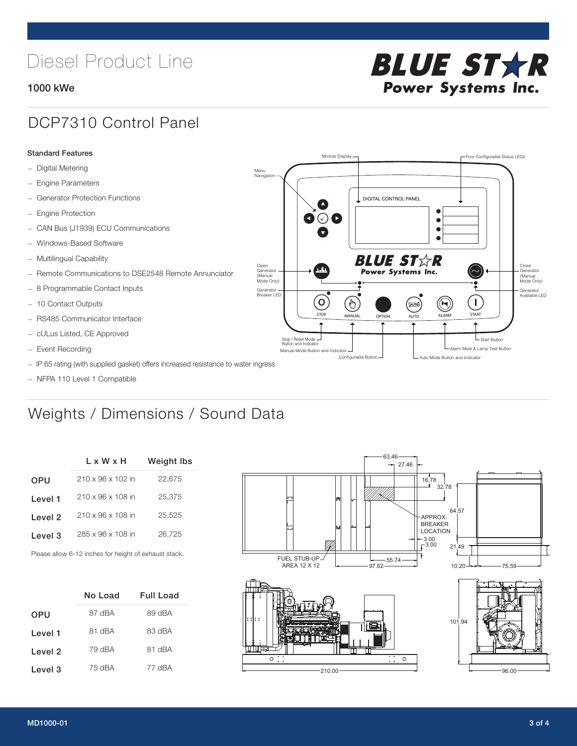# Diesel Product Line

### 1000 kWe



## DCP7310 Control Panel

#### Standard Features

- Digital Metering
- Engine Parameters
- Generator Protection Functions
- Engine Protection
- CAN Bus (J1939) ECU Communications
- Windows-Based Software
- Multilingual Capability
- Remote Communications to DSE2548 Remote Annunciator
- 8 Programmable Contact Inputs
- 10 Contact Outputs
- RS485 Communicator Interface
- cULus Listed, CE Approved
- Event Recording
- IP 65 rating (with supplied gasket) offers increased resistance to water ingress
- NFPA 110 Level 1 Compatible

# Weights / Dimensions / Sound Data

|            | L x W x H                     | <b>Weight Ibs</b> |
|------------|-------------------------------|-------------------|
| <b>OPU</b> | $210 \times 96 \times 102$ in | 22,675            |
| Level 1    | 210 x 96 x 108 in             | 25,375            |
| Level 2    | 210 x 96 x 108 in             | 25,525            |
| Level 3    | 285 x 96 x 108 in             | 26.725            |
|            |                               |                   |

Please allow 6-12 inches for height of exhaust stack.

|            | No Load | Full Load |
|------------|---------|-----------|
| <b>OPU</b> | 87 dBA  | 89 dBA    |
| Level 1    | AAh 18  | 83 dBA    |
| Level 2    | 79 dBA  | 81 dBA    |
| Level 3    | 75 dBA  | 77 dBA    |



STOP MANUAL OPTION AUTO ALARM START

[AUTO]

**BLUE STAR** Power Systems Inc.

Manual Mode Button and Indicator United States and Indicator United States and Indicator United States and Indicator United States and Indicator United States and Indicator United States and Indicator United States and Ind Configurable Button -  $\Box$  Auto Mode Button and Indicator

DIGITAL CONTROL PANEL

Module Display  $\Box$ 

 $\bullet$  $\bullet$  $\bullet$ 

 $\circledcirc$ 

Menu Navigation

Open Generator (Manual Mode Only)

Generator Breaker LED

Stop / Reset Mode Button and Indicator

 $\bullet$  $\bullet$   $\circ$   $\bullet$ 

 $\sigma$ 

՟Պ

Close Generator (Manual Mode Only)

Generator Available LED

- Start Button

 $\blacksquare$